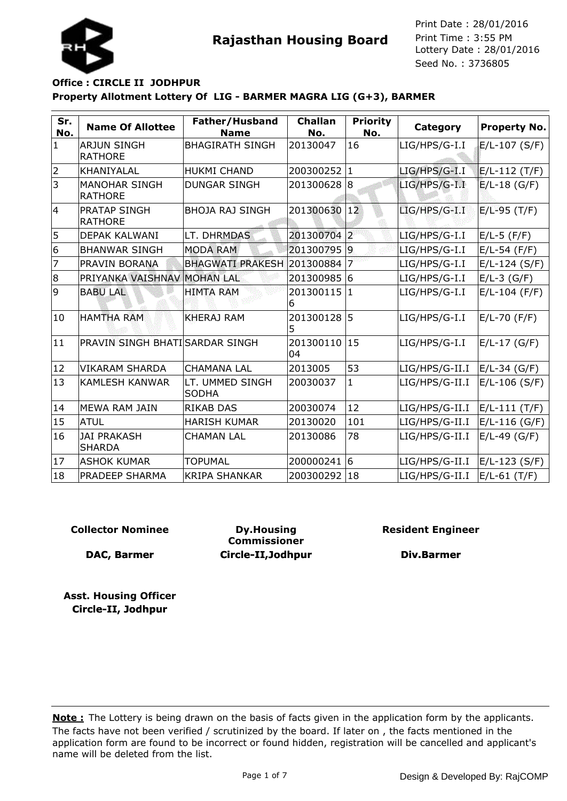

# **Property Allotment Lottery Of LIG - BARMER MAGRA LIG (G+3), BARMER Office : CIRCLE II JODHPUR**

| Sr.<br>No.     | <b>Name Of Allottee</b>                | Father/Husband<br><b>Name</b>   | <b>Challan</b><br>No. | <b>Priority</b><br>No. | Category        | <b>Property No.</b> |
|----------------|----------------------------------------|---------------------------------|-----------------------|------------------------|-----------------|---------------------|
| $\mathbf{1}$   | <b>ARJUN SINGH</b><br><b>RATHORE</b>   | <b>BHAGIRATH SINGH</b>          | 20130047              | 16                     | LIG/HPS/G-I.I   | $E/L-107$ (S/F)     |
| $\overline{2}$ | KHANIYALAL                             | <b>HUKMI CHAND</b>              | 200300252 1           |                        | $LIG/HPS/G-I.I$ | $E/L-112$ (T/F)     |
| 3              | <b>MANOHAR SINGH</b><br><b>RATHORE</b> | <b>DUNGAR SINGH</b>             | 201300628             | 18                     | LIG/HPS/G-I.I   | $E/L-18$ (G/F)      |
| 4              | PRATAP SINGH<br><b>RATHORE</b>         | <b>BHOJA RAJ SINGH</b>          | 201300630             | $ 12\rangle$           | $LIG/HPS/G-I.I$ | $E/L-95$ (T/F)      |
| 5              | <b>DEPAK KALWANI</b>                   | LT. DHRMDAS                     | 201300704 2           |                        | LIG/HPS/G-I.I   | $E/L-5$ (F/F)       |
| 6              | <b>BHANWAR SINGH</b>                   | <b>MODA RAM</b>                 | 201300795 9           |                        | LIG/HPS/G-I.I   | $E/L-54$ (F/F)      |
| $\overline{7}$ | PRAVIN BORANA                          | <b>BHAGWATI PRAKESH</b>         | 201300884             | 7                      | LIG/HPS/G-I.I   | $E/L-124$ (S/F)     |
| 8              | PRIYANKA VAISHNAV                      | <b>MOHAN LAL</b>                | 201300985 6           |                        | LIG/HPS/G-I.I   | $E/L-3$ (G/F)       |
| 9              | <b>BABU LAL</b>                        | <b>HIMTA RAM</b>                | 201300115<br>6        | $\mathbf{1}$           | LIG/HPS/G-I.I   | $E/L-104$ (F/F)     |
| 10             | <b>HAMTHA RAM</b>                      | <b>KHERAJ RAM</b>               | 201300128<br>5        | 5                      | LIG/HPS/G-I.I   | $E/L-70$ (F/F)      |
| 11             | PRAVIN SINGH BHATI SARDAR SINGH        |                                 | 201300110<br>04       | 15                     | LIG/HPS/G-I.I   | $E/L-17$ (G/F)      |
| 12             | <b>VIKARAM SHARDA</b>                  | <b>CHAMANA LAL</b>              | 2013005               | 53                     | LIG/HPS/G-II.I  | $E/L-34$ (G/F)      |
| 13             | <b>KAMLESH KANWAR</b>                  | LT. UMMED SINGH<br><b>SODHA</b> | 20030037              | 1                      | LIG/HPS/G-II.I  | $E/L-106$ (S/F)     |
| 14             | MEWA RAM JAIN                          | <b>RIKAB DAS</b>                | 20030074              | 12                     | LIG/HPS/G-II.I  | E/L-111 (T/F)       |
| 15             | <b>ATUL</b>                            | <b>HARISH KUMAR</b>             | 20130020              | 101                    | LIG/HPS/G-II.I  | $E/L-116$ (G/F)     |
| 16             | <b>JAI PRAKASH</b><br><b>SHARDA</b>    | <b>CHAMAN LAL</b>               | 20130086              | 78                     | LIG/HPS/G-II.I  | $E/L-49$ (G/F)      |
| 17             | <b>ASHOK KUMAR</b>                     | <b>TOPUMAL</b>                  | 200000241 6           |                        | LIG/HPS/G-II.I  | $E/L-123$ (S/F)     |
| 18             | <b>PRADEEP SHARMA</b>                  | <b>KRIPA SHANKAR</b>            | 200300292             | 18                     | LIG/HPS/G-II.I  | $E/L-61$ (T/F)      |

#### **Collector Nominee**

**DAC, Barmer**

**Dy.Housing Commissioner Circle-II,Jodhpur** **Resident Engineer**

**Div.Barmer**

**Asst. Housing Officer Circle-II, Jodhpur**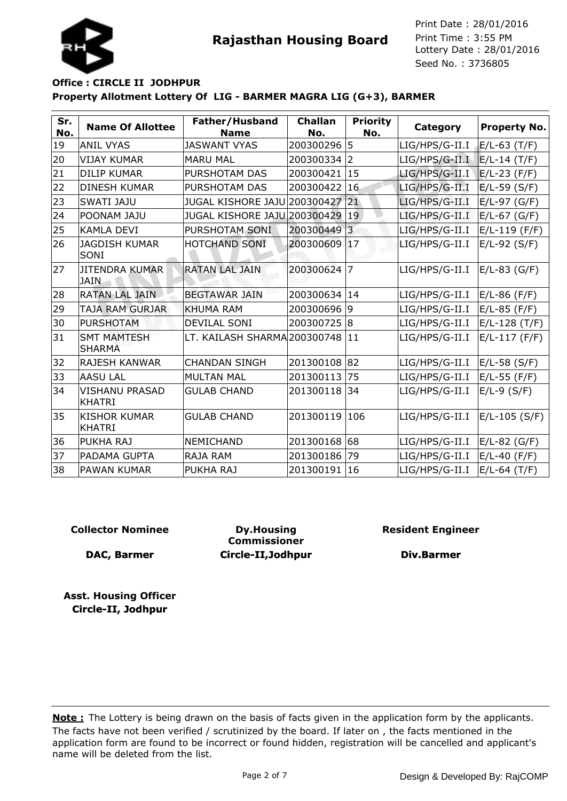

# **Property Allotment Lottery Of LIG - BARMER MAGRA LIG (G+3), BARMER Office : CIRCLE II JODHPUR**

| Sr.<br>No. | <b>Name Of Allottee</b>                | Father/Husband<br><b>Name</b> | <b>Challan</b><br>No. | <b>Priority</b><br>No. | Category       | <b>Property No.</b> |
|------------|----------------------------------------|-------------------------------|-----------------------|------------------------|----------------|---------------------|
| 19         | <b>ANIL VYAS</b>                       | <b>JASWANT VYAS</b>           | 200300296 5           |                        | LIG/HPS/G-II.I | $E/L-63$ (T/F)      |
| 20         | <b>VIJAY KUMAR</b>                     | <b>MARU MAL</b>               | 200300334 2           |                        | LIG/HPS/G-II.I | $E/L-14$ (T/F)      |
| 21         | <b>DILIP KUMAR</b>                     | PURSHOTAM DAS                 | 200300421             | 15                     | LIG/HPS/G-II.I | $E/L-23$ (F/F)      |
| 22         | <b>DINESH KUMAR</b>                    | PURSHOTAM DAS                 | 200300422             | 16                     | LIG/HPS/G-II.I | $E/L-59$ (S/F)      |
| 23         | <b>SWATI JAJU</b>                      | JUGAL KISHORE JAJU 200300427  |                       | 21                     | LIG/HPS/G-II.I | $E/L-97$ (G/F)      |
| 24         | POONAM JAJU                            | JUGAL KISHORE JAJU 200300429  |                       | 19                     | LIG/HPS/G-II.I | $E/L-67$ (G/F)      |
| 25         | <b>KAMLA DEVI</b>                      | PURSHOTAM SONI                | 200300449             | $\overline{3}$         | LIG/HPS/G-II.I | $E/L-119$ (F/F)     |
| 26         | <b>JAGDISH KUMAR</b><br>SONI           | HOTCHAND SONI                 | 200300609             | 17                     | LIG/HPS/G-II.I | $E/L-92$ (S/F)      |
| 27         | <b>JITENDRA KUMAR</b><br><b>JAIN</b>   | <b>RATAN LAL JAIN</b>         | 200300624             | 7                      | LIG/HPS/G-II.I | $E/L-83$ (G/F)      |
| 28         | <b>RATAN LAL JAIN</b>                  | <b>BEGTAWAR JAIN</b>          | 200300634             | 14                     | LIG/HPS/G-II.I | $E/L-86$ (F/F)      |
| 29         | TAJA RAM GURJAR                        | <b>KHUMA RAM</b>              | 200300696 9           |                        | LIG/HPS/G-II.I | $E/L-85$ (F/F)      |
| 30         | <b>PURSHOTAM</b>                       | <b>DEVILAL SONI</b>           | 200300725 8           |                        | LIG/HPS/G-II.I | $E/L-128$ (T/F)     |
| 31         | <b>SMT MAMTESH</b><br><b>SHARMA</b>    | LT. KAILASH SHARMA 200300748  |                       | 11                     | LIG/HPS/G-II.I | $E/L-117$ (F/F)     |
| 32         | <b>RAJESH KANWAR</b>                   | <b>CHANDAN SINGH</b>          | 201300108 82          |                        | LIG/HPS/G-II.I | $E/L-58$ (S/F)      |
| 33         | <b>AASU LAL</b>                        | <b>MULTAN MAL</b>             | 201300113             | 75                     | LIG/HPS/G-II.I | $E/L-55$ (F/F)      |
| 34         | <b>VISHANU PRASAD</b><br><b>KHATRI</b> | <b>GULAB CHAND</b>            | 201300118             | 34                     | LIG/HPS/G-II.I | $E/L-9$ (S/F)       |
| 35         | <b>KISHOR KUMAR</b><br><b>KHATRI</b>   | <b>GULAB CHAND</b>            | 201300119             | 106                    | LIG/HPS/G-II.I | $E/L-105$ (S/F)     |
| 36         | PUKHA RAJ                              | NEMICHAND                     | 201300168             | 68                     | LIG/HPS/G-II.I | $E/L-82$ (G/F)      |
| 37         | PADAMA GUPTA                           | RAJA RAM                      | 201300186             | 79                     | LIG/HPS/G-II.I | $E/L-40$ (F/F)      |
| 38         | <b>PAWAN KUMAR</b>                     | PUKHA RAJ                     | 201300191             | 16                     | LIG/HPS/G-II.I | $E/L-64$ (T/F)      |

#### **Collector Nominee**

**DAC, Barmer**

**Dy.Housing Commissioner Circle-II,Jodhpur** **Resident Engineer**

**Div.Barmer**

**Asst. Housing Officer Circle-II, Jodhpur**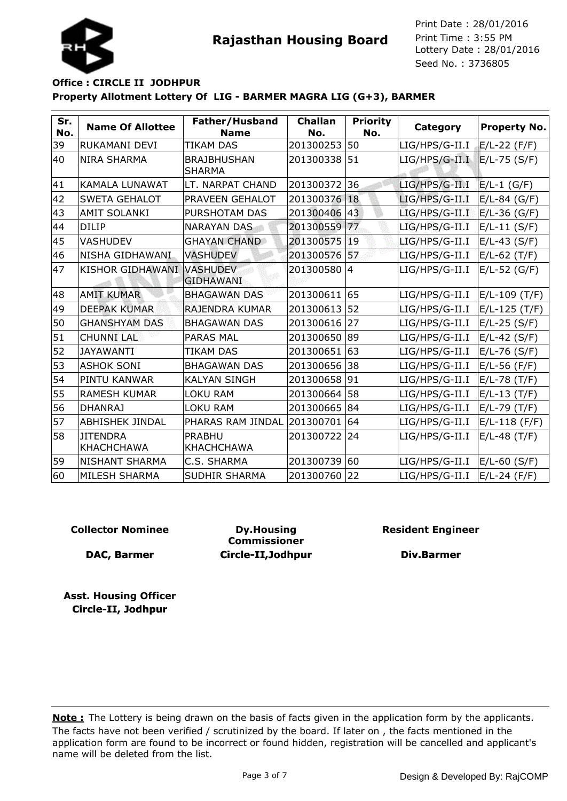

## **Property Allotment Lottery Of LIG - BARMER MAGRA LIG (G+3), BARMER Office : CIRCLE II JODHPUR**

| Sr.<br>No. | <b>Name Of Allottee</b>              | Father/Husband<br><b>Name</b>       | <b>Challan</b><br>No. | <b>Priority</b><br>No. | Category       | <b>Property No.</b> |
|------------|--------------------------------------|-------------------------------------|-----------------------|------------------------|----------------|---------------------|
| 39         | RUKAMANI DEVI                        | <b>TIKAM DAS</b>                    | 201300253             | 50                     | LIG/HPS/G-II.I | $E/L-22$ (F/F)      |
| 40         | <b>NIRA SHARMA</b>                   | <b>BRAJBHUSHAN</b><br><b>SHARMA</b> | 201300338             | 51                     | LIG/HPS/G-II.I | $E/L-75$ (S/F)      |
| 41         | <b>KAMALA LUNAWAT</b>                | LT. NARPAT CHAND                    | 201300372             | 36                     | LIG/HPS/G-II.I | $E/L-1$ (G/F)       |
| 42         | <b>SWETA GEHALOT</b>                 | PRAVEEN GEHALOT                     | 201300376             | 18                     | LIG/HPS/G-II.I | $E/L-84$ (G/F)      |
| 43         | <b>AMIT SOLANKI</b>                  | PURSHOTAM DAS                       | 201300406             | 43                     | LIG/HPS/G-II.I | $E/L-36$ (G/F)      |
| 44         | <b>DILIP</b>                         | <b>NARAYAN DAS</b>                  | 201300559             | 77                     | LIG/HPS/G-II.I | $E/L-11$ (S/F)      |
| 45         | <b>VASHUDEV</b>                      | <b>GHAYAN CHAND</b>                 | 201300575             | 19                     | LIG/HPS/G-II.I | $E/L-43$ (S/F)      |
| 46         | NISHA GIDHAWANI                      | <b>VASHUDEV</b>                     | 201300576             | 57                     | LIG/HPS/G-II.I | $E/L-62$ (T/F)      |
| 47         | <b>KISHOR GIDHAWANI</b>              | <b>VASHUDEV</b><br><b>GIDHAWANI</b> | 201300580 4           |                        | LIG/HPS/G-II.I | $E/L-52$ (G/F)      |
| 48         | <b>AMIT KUMAR</b>                    | <b>BHAGAWAN DAS</b>                 | 201300611             | 65                     | LIG/HPS/G-II.I | E/L-109 (T/F)       |
| 49         | <b>DEEPAK KUMAR</b>                  | RAJENDRA KUMAR                      | 201300613             | 52                     | LIG/HPS/G-II.I | $E/L-125$ (T/F)     |
| 50         | <b>GHANSHYAM DAS</b>                 | <b>BHAGAWAN DAS</b>                 | 201300616             | 27                     | LIG/HPS/G-II.I | $E/L-25$ (S/F)      |
| 51         | <b>CHUNNI LAL</b>                    | <b>PARAS MAL</b>                    | 201300650             | 89                     | LIG/HPS/G-II.I | $E/L-42$ (S/F)      |
| 52         | <b>JAYAWANTI</b>                     | <b>TIKAM DAS</b>                    | 201300651             | 63                     | LIG/HPS/G-II.I | $E/L-76$ (S/F)      |
| 53         | <b>ASHOK SONI</b>                    | <b>BHAGAWAN DAS</b>                 | 201300656             | 38                     | LIG/HPS/G-II.I | $E/L-56$ (F/F)      |
| 54         | PINTU KANWAR                         | <b>KALYAN SINGH</b>                 | 201300658             | 91                     | LIG/HPS/G-II.I | $E/L-78$ (T/F)      |
| 55         | <b>RAMESH KUMAR</b>                  | <b>LOKU RAM</b>                     | 201300664             | 58                     | LIG/HPS/G-II.I | $E/L-13$ (T/F)      |
| 56         | <b>DHANRAJ</b>                       | <b>LOKU RAM</b>                     | 201300665             | 84                     | LIG/HPS/G-II.I | $E/L-79$ (T/F)      |
| 57         | <b>ABHISHEK JINDAL</b>               | PHARAS RAM JINDAL                   | 201300701             | 64                     | LIG/HPS/G-II.I | $E/L-118$ (F/F)     |
| 58         | <b>JITENDRA</b><br><b>KHACHCHAWA</b> | <b>PRABHU</b><br><b>KHACHCHAWA</b>  | 201300722             | 24                     | LIG/HPS/G-II.I | $E/L-48$ (T/F)      |
| 59         | <b>NISHANT SHARMA</b>                | C.S. SHARMA                         | 201300739             | 60                     | LIG/HPS/G-II.I | $E/L-60$ (S/F)      |
| 60         | MILESH SHARMA                        | <b>SUDHIR SHARMA</b>                | 201300760             | 22                     | LIG/HPS/G-II.I | $E/L-24$ (F/F)      |

#### **Collector Nominee**

**DAC, Barmer**

**Dy.Housing Commissioner Circle-II,Jodhpur** **Resident Engineer**

**Div.Barmer**

**Asst. Housing Officer Circle-II, Jodhpur**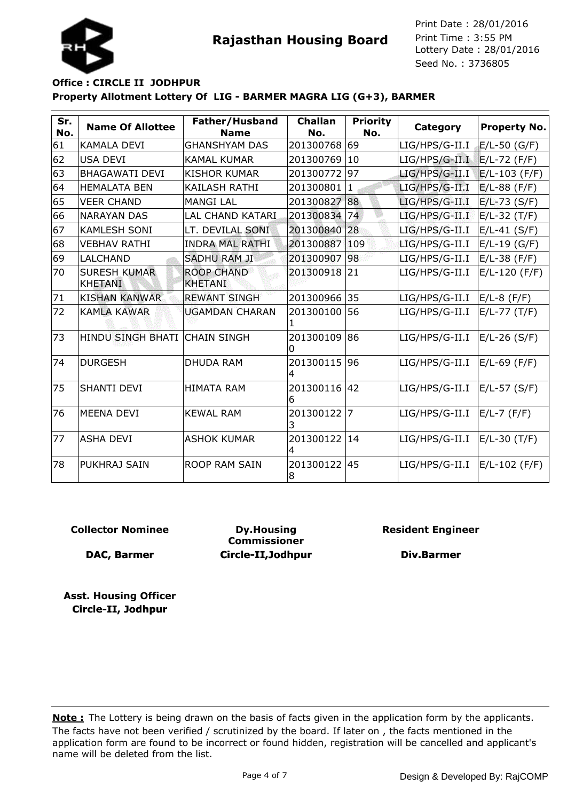

## **Property Allotment Lottery Of LIG - BARMER MAGRA LIG (G+3), BARMER Office : CIRCLE II JODHPUR**

| Sr.<br>No. | <b>Name Of Allottee</b>               | Father/Husband<br><b>Name</b>       | <b>Challan</b><br>No. | <b>Priority</b><br>No. | Category       | <b>Property No.</b> |
|------------|---------------------------------------|-------------------------------------|-----------------------|------------------------|----------------|---------------------|
| 61         | KAMALA DEVI                           | <b>GHANSHYAM DAS</b>                | 201300768 69          |                        | LIG/HPS/G-II.I | E/L-50 (G/F)        |
| 62         | <b>USA DEVI</b>                       | <b>KAMAL KUMAR</b>                  | 201300769             | 10                     | LIG/HPS/G-II.I | $E/L-72$ (F/F)      |
| 63         | <b>BHAGAWATI DEVI</b>                 | <b>KISHOR KUMAR</b>                 | 201300772             | 97                     | LIG/HPS/G-II.I | $E/L-103$ (F/F)     |
| 64         | <b>HEMALATA BEN</b>                   | <b>KAILASH RATHI</b>                | 201300801             | $\mathbf{1}$           | LIG/HPS/G-II.I | E/L-88 (F/F)        |
| 65         | <b>VEER CHAND</b>                     | <b>MANGI LAL</b>                    | 201300827             | 88                     | LIG/HPS/G-II.I | $E/L-73$ (S/F)      |
| 66         | <b>NARAYAN DAS</b>                    | <b>LAL CHAND KATARI</b>             | 201300834             | 74                     | LIG/HPS/G-II.I | $E/L-32$ (T/F)      |
| 67         | <b>KAMLESH SONI</b>                   | LT. DEVILAL SONI                    | 201300840 28          |                        | LIG/HPS/G-II.I | $E/L-41$ (S/F)      |
| 68         | <b>VEBHAV RATHI</b>                   | <b>INDRA MAL RATHI</b>              | 201300887             | 109                    | LIG/HPS/G-II.I | $E/L-19$ (G/F)      |
| 69         | <b>LALCHAND</b>                       | <b>SADHU RAM JI</b>                 | 201300907             | 98                     | LIG/HPS/G-II.I | $E/L-38$ (F/F)      |
| 70         | <b>SURESH KUMAR</b><br><b>KHETANI</b> | <b>ROOP CHAND</b><br><b>KHETANI</b> | 201300918             | 21                     | LIG/HPS/G-II.I | $E/L-120$ (F/F)     |
| 71         | <b>KISHAN KANWAR</b>                  | <b>REWANT SINGH</b>                 | 201300966             | 35                     | LIG/HPS/G-II.I | E/L-8 (F/F)         |
| 72         | <b>KAMLA KAWAR</b>                    | <b>UGAMDAN CHARAN</b>               | 201300100             | 56                     | LIG/HPS/G-II.I | $E/L-77$ (T/F)      |
| 73         | HINDU SINGH BHATI CHAIN SINGH         |                                     | 201300109<br>0        | 86                     | LIG/HPS/G-II.I | $E/L-26$ (S/F)      |
| 74         | <b>DURGESH</b>                        | <b>DHUDA RAM</b>                    | 201300115<br>4        | 96                     | LIG/HPS/G-II.I | E/L-69 (F/F)        |
| 75         | <b>SHANTI DEVI</b>                    | <b>HIMATA RAM</b>                   | 201300116<br>6        | 42                     | LIG/HPS/G-II.I | E/L-57 (S/F)        |
| 76         | <b>MEENA DEVI</b>                     | <b>KEWAL RAM</b>                    | 201300122             | 17                     | LIG/HPS/G-II.I | E/L-7 (F/F)         |
| 77         | lasha devi                            | <b>ASHOK KUMAR</b>                  | 201300122<br>4        | 14                     | LIG/HPS/G-II.I | E/L-30 (T/F)        |
| 78         | lPUKHRAJ SAIN                         | <b>ROOP RAM SAIN</b>                | 201300122 45<br>8     |                        | LIG/HPS/G-II.I | E/L-102 (F/F)       |

#### **Collector Nominee**

**DAC, Barmer**

**Dy.Housing Commissioner Circle-II,Jodhpur** **Resident Engineer**

**Div.Barmer**

**Asst. Housing Officer Circle-II, Jodhpur**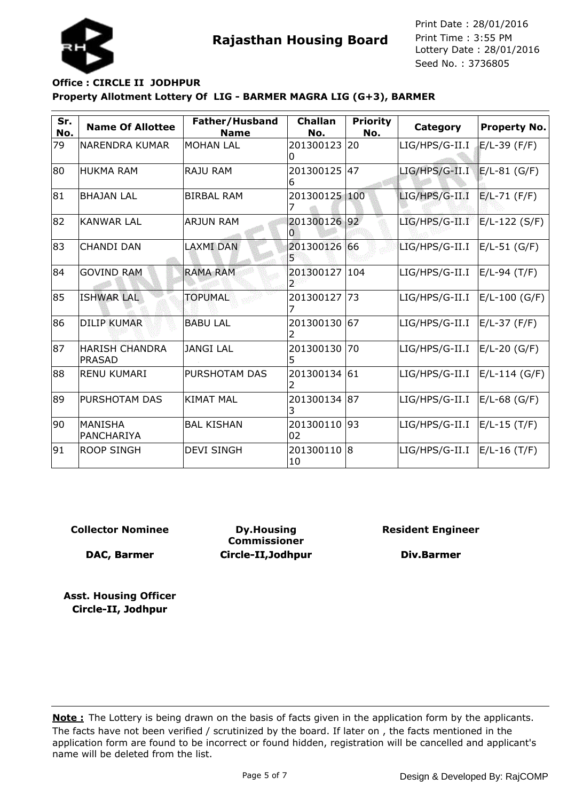



# **Property Allotment Lottery Of LIG - BARMER MAGRA LIG (G+3), BARMER Office : CIRCLE II JODHPUR**

| Sr.<br>No. | <b>Name Of Allottee</b>                | Father/Husband<br><b>Name</b> | <b>Challan</b><br>No. | <b>Priority</b><br>No. | Category       | <b>Property No.</b> |
|------------|----------------------------------------|-------------------------------|-----------------------|------------------------|----------------|---------------------|
| 79         | <b>NARENDRA KUMAR</b>                  | <b>MOHAN LAL</b>              | 201300123<br>O        | 20                     | LIG/HPS/G-II.I | $E/L-39$ (F/F)      |
| 80         | <b>HUKMA RAM</b>                       | <b>RAJU RAM</b>               | 201300125<br>6        | 47                     | LIG/HPS/G-II.I | $E/L-81$ (G/F)      |
| 81         | <b>BHAJAN LAL</b>                      | <b>BIRBAL RAM</b>             | 201300125             | 100                    | LIG/HPS/G-II.I | $E/L-71$ (F/F)      |
| 82         | <b>KANWAR LAL</b>                      | <b>ARJUN RAM</b>              | 201300126 92<br>O     |                        | LIG/HPS/G-II.I | $E/L-122$ (S/F)     |
| 83         | <b>CHANDI DAN</b>                      | <b>LAXMI DAN</b>              | 201300126             | 66                     | LIG/HPS/G-II.I | $E/L-51$ (G/F)      |
| 84         | <b>GOVIND RAM</b>                      | <b>RAMA RAM</b>               | 201300127             | 104                    | LIG/HPS/G-II.I | E/L-94 (T/F)        |
| 85         | <b>ISHWAR LAL</b>                      | <b>TOPUMAL</b>                | 201300127             | 173                    | LIG/HPS/G-II.I | E/L-100 (G/F)       |
| 86         | <b>DILIP KUMAR</b>                     | <b>BABU LAL</b>               | 201300130             | 67                     | LIG/HPS/G-II.I | E/L-37 (F/F)        |
| 87         | <b>HARISH CHANDRA</b><br><b>PRASAD</b> | <b>JANGI LAL</b>              | 201300130<br>5        | 70                     | LIG/HPS/G-II.I | $E/L-20$ (G/F)      |
| 88         | <b>RENU KUMARI</b>                     | PURSHOTAM DAS                 | 201300134 61          |                        | LIG/HPS/G-II.I | $E/L-114$ (G/F)     |
| 89         | <b>PURSHOTAM DAS</b>                   | <b>KIMAT MAL</b>              | 201300134<br>3        | 187                    | LIG/HPS/G-II.I | $E/L-68$ (G/F)      |
| 90         | <b>MANISHA</b><br>PANCHARIYA           | <b>BAL KISHAN</b>             | 201300110<br>02       | 93                     | LIG/HPS/G-II.I | $E/L-15$ (T/F)      |
| 91         | <b>ROOP SINGH</b>                      | <b>DEVI SINGH</b>             | 201300110<br>10       | 18                     | LIG/HPS/G-II.I | E/L-16 (T/F)        |

**Collector Nominee**

**DAC, Barmer**

**Dy.Housing Commissioner Circle-II,Jodhpur** **Resident Engineer**

**Div.Barmer**

**Asst. Housing Officer Circle-II, Jodhpur**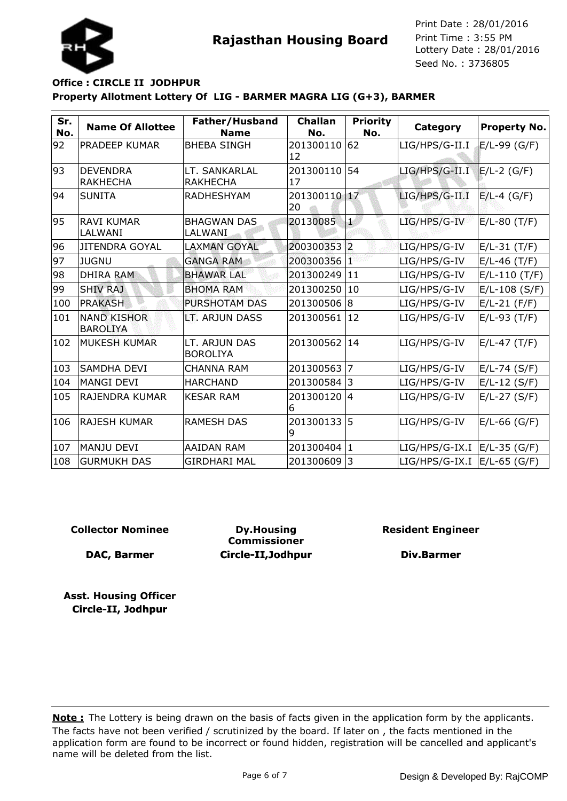Seed No. : 3736805 Print Date : 28/01/2016 Print Time : 3:55 PM



# **Property Allotment Lottery Of LIG - BARMER MAGRA LIG (G+3), BARMER Office : CIRCLE II JODHPUR**

| Sr.<br>No. | <b>Name Of Allottee</b>               | Father/Husband<br><b>Name</b>    | <b>Challan</b><br>No. | <b>Priority</b><br>No. | Category       | <b>Property No.</b> |
|------------|---------------------------------------|----------------------------------|-----------------------|------------------------|----------------|---------------------|
| 92         | <b>PRADEEP KUMAR</b>                  | <b>BHEBA SINGH</b>               | 201300110<br>12       | 62                     | LIG/HPS/G-II.I | $E/L-99$ (G/F)      |
| 93         | <b>DEVENDRA</b><br><b>RAKHECHA</b>    | LT. SANKARLAL<br><b>RAKHECHA</b> | 201300110<br>17       | 54                     | LIG/HPS/G-II.I | $E/L-2$ (G/F)       |
| 94         | <b>SUNITA</b>                         | <b>RADHESHYAM</b>                | 201300110 17<br>20    |                        | LIG/HPS/G-II.I | $E/L-4$ (G/F)       |
| 95         | <b>RAVI KUMAR</b><br>LALWANI          | <b>BHAGWAN DAS</b><br>LALWANI    | 20130085              | k                      | LIG/HPS/G-IV   | $E/L-80$ (T/F)      |
| 96         | <b>JITENDRA GOYAL</b>                 | <b>LAXMAN GOYAL</b>              | 200300353             | $\overline{2}$         | LIG/HPS/G-IV   | $E/L-31$ (T/F)      |
| 97         | <b>JUGNU</b>                          | <b>GANGA RAM</b>                 | 200300356             | Ť                      | LIG/HPS/G-IV   | $E/L-46$ (T/F)      |
| 98         | <b>DHIRA RAM</b>                      | <b>BHAWAR LAL</b>                | 201300249             | 11                     | LIG/HPS/G-IV   | $E/L-110(T/F)$      |
| 99         | <b>SHIV RAJ</b>                       | <b>BHOMA RAM</b>                 | 201300250             | 10                     | LIG/HPS/G-IV   | $E/L-108$ (S/F)     |
| 100        | <b>PRAKASH</b>                        | PURSHOTAM DAS                    | 201300506             | 8                      | LIG/HPS/G-IV   | $E/L-21$ (F/F)      |
| 101        | <b>NAND KISHOR</b><br><b>BAROLIYA</b> | LT. ARJUN DASS                   | 201300561             | 12                     | LIG/HPS/G-IV   | $E/L-93$ (T/F)      |
| 102        | <b>MUKESH KUMAR</b>                   | LT. ARJUN DAS<br><b>BOROLIYA</b> | 201300562             | 14                     | LIG/HPS/G-IV   | $E/L-47$ (T/F)      |
| 103        | <b>SAMDHA DEVI</b>                    | <b>CHANNA RAM</b>                | 201300563             | 7                      | LIG/HPS/G-IV   | $E/L-74$ (S/F)      |
| 104        | MANGI DEVI                            | <b>HARCHAND</b>                  | 201300584             | 3                      | LIG/HPS/G-IV   | $E/L-12$ (S/F)      |
| 105        | RAJENDRA KUMAR                        | <b>KESAR RAM</b>                 | 201300120<br>6        | 14                     | LIG/HPS/G-IV   | $E/L-27$ (S/F)      |
| 106        | <b>RAJESH KUMAR</b>                   | <b>RAMESH DAS</b>                | 201300133<br>9        | 15                     | LIG/HPS/G-IV   | $E/L-66$ (G/F)      |
| 107        | MANJU DEVI                            | <b>AAIDAN RAM</b>                | 201300404             | 1                      | LIG/HPS/G-IX.I | E/L-35 (G/F)        |
| 108        | <b>GURMUKH DAS</b>                    | <b>GIRDHARI MAL</b>              | 201300609             | 3                      | LIG/HPS/G-IX.I | $E/L-65$ (G/F)      |

**Collector Nominee**

**DAC, Barmer**

**Dy.Housing Commissioner Circle-II,Jodhpur** **Resident Engineer**

**Div.Barmer**

**Asst. Housing Officer Circle-II, Jodhpur**